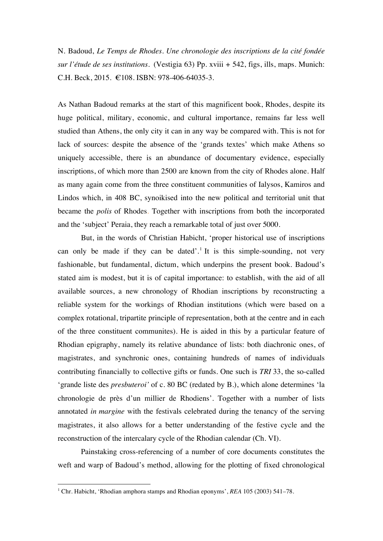N. Badoud, *Le Temps de Rhodes. Une chronologie des inscriptions de la cité fondée sur l'étude de ses institutions.* (Vestigia 63) Pp. xviii + 542, figs, ills, maps. Munich: C.H. Beck, 2015. €108. ISBN: 978-406-64035-3.

As Nathan Badoud remarks at the start of this magnificent book, Rhodes, despite its huge political, military, economic, and cultural importance, remains far less well studied than Athens, the only city it can in any way be compared with. This is not for lack of sources: despite the absence of the 'grands textes' which make Athens so uniquely accessible, there is an abundance of documentary evidence, especially inscriptions, of which more than 2500 are known from the city of Rhodes alone. Half as many again come from the three constituent communities of Ialysos, Kamiros and Lindos which, in 408 BC, synoikised into the new political and territorial unit that became the *polis* of Rhodes. Together with inscriptions from both the incorporated and the 'subject' Peraia, they reach a remarkable total of just over 5000.

But, in the words of Christian Habicht, 'proper historical use of inscriptions can only be made if they can be dated'.<sup>1</sup> It is this simple-sounding, not very fashionable, but fundamental, dictum, which underpins the present book. Badoud's stated aim is modest, but it is of capital importance: to establish, with the aid of all available sources, a new chronology of Rhodian inscriptions by reconstructing a reliable system for the workings of Rhodian institutions (which were based on a complex rotational, tripartite principle of representation, both at the centre and in each of the three constituent communites). He is aided in this by a particular feature of Rhodian epigraphy, namely its relative abundance of lists: both diachronic ones, of magistrates, and synchronic ones, containing hundreds of names of individuals contributing financially to collective gifts or funds. One such is *TRI* 33, the so-called 'grande liste des *presbuteroi'* of c. 80 BC (redated by B.), which alone determines 'la chronologie de près d'un millier de Rhodiens'. Together with a number of lists annotated *in margine* with the festivals celebrated during the tenancy of the serving magistrates, it also allows for a better understanding of the festive cycle and the reconstruction of the intercalary cycle of the Rhodian calendar (Ch. VI).

Painstaking cross-referencing of a number of core documents constitutes the weft and warp of Badoud's method, allowing for the plotting of fixed chronological

 

<sup>1</sup> Chr. Habicht, 'Rhodian amphora stamps and Rhodian eponyms', *REA* 105 (2003) 541–78.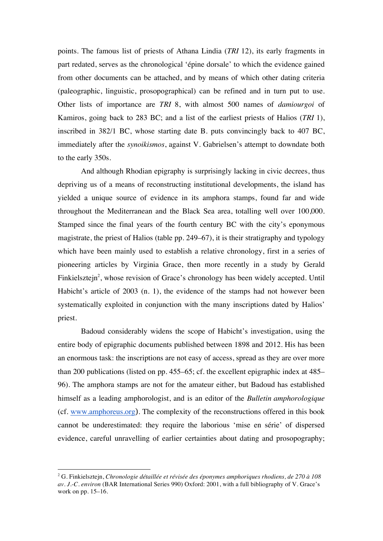points. The famous list of priests of Athana Lindia (*TRI* 12), its early fragments in part redated, serves as the chronological 'épine dorsale' to which the evidence gained from other documents can be attached, and by means of which other dating criteria (paleographic, linguistic, prosopographical) can be refined and in turn put to use. Other lists of importance are *TRI* 8, with almost 500 names of *damiourgoi* of Kamiros, going back to 283 BC; and a list of the earliest priests of Halios (*TRI* 1), inscribed in 382/1 BC, whose starting date B. puts convincingly back to 407 BC, immediately after the *synoikismos*, against V. Gabrielsen's attempt to downdate both to the early 350s.

And although Rhodian epigraphy is surprisingly lacking in civic decrees, thus depriving us of a means of reconstructing institutional developments, the island has yielded a unique source of evidence in its amphora stamps, found far and wide throughout the Mediterranean and the Black Sea area, totalling well over 100,000. Stamped since the final years of the fourth century BC with the city's eponymous magistrate, the priest of Halios (table pp. 249–67), it is their stratigraphy and typology which have been mainly used to establish a relative chronology, first in a series of pioneering articles by Virginia Grace, then more recently in a study by Gerald Finkielsztejn<sup>2</sup>, whose revision of Grace's chronology has been widely accepted. Until Habicht's article of 2003 (n. 1), the evidence of the stamps had not however been systematically exploited in conjunction with the many inscriptions dated by Halios' priest.

Badoud considerably widens the scope of Habicht's investigation, using the entire body of epigraphic documents published between 1898 and 2012. His has been an enormous task: the inscriptions are not easy of access, spread as they are over more than 200 publications (listed on pp. 455–65; cf. the excellent epigraphic index at 485– 96). The amphora stamps are not for the amateur either, but Badoud has established himself as a leading amphorologist, and is an editor of the *Bulletin amphorologique* (cf. www.amphoreus.org). The complexity of the reconstructions offered in this book cannot be underestimated: they require the laborious 'mise en série' of dispersed evidence, careful unravelling of earlier certainties about dating and prosopography;

 

<sup>2</sup> G. Finkielsztejn, *Chronologie détaillée et révisée des éponymes amphoriques rhodiens, de 270 à 108 av. J.-C. environ* (BAR International Series 990) Oxford: 2001, with a full bibliography of V. Grace's work on pp. 15–16.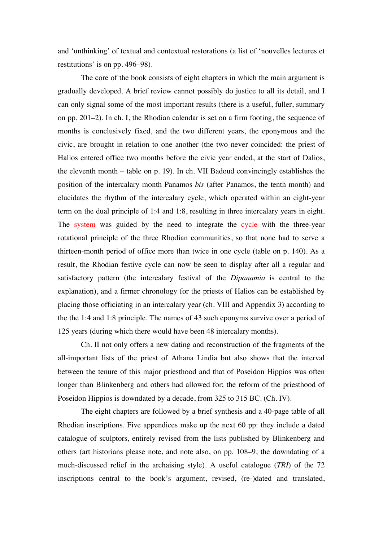and 'unthinking' of textual and contextual restorations (a list of 'nouvelles lectures et restitutions' is on pp. 496–98).

The core of the book consists of eight chapters in which the main argument is gradually developed. A brief review cannot possibly do justice to all its detail, and I can only signal some of the most important results (there is a useful, fuller, summary on pp. 201–2). In ch. I, the Rhodian calendar is set on a firm footing, the sequence of months is conclusively fixed, and the two different years, the eponymous and the civic, are brought in relation to one another (the two never coincided: the priest of Halios entered office two months before the civic year ended, at the start of Dalios, the eleventh month – table on p. 19). In ch. VII Badoud convincingly establishes the position of the intercalary month Panamos *bis* (after Panamos, the tenth month) and elucidates the rhythm of the intercalary cycle, which operated within an eight-year term on the dual principle of 1:4 and 1:8, resulting in three intercalary years in eight. The system was guided by the need to integrate the cycle with the three-year rotational principle of the three Rhodian communities, so that none had to serve a thirteen-month period of office more than twice in one cycle (table on p. 140). As a result, the Rhodian festive cycle can now be seen to display after all a regular and satisfactory pattern (the intercalary festival of the *Dipanamia* is central to the explanation), and a firmer chronology for the priests of Halios can be established by placing those officiating in an intercalary year (ch. VIII and Appendix 3) according to the the 1:4 and 1:8 principle. The names of 43 such eponyms survive over a period of 125 years (during which there would have been 48 intercalary months).

Ch. II not only offers a new dating and reconstruction of the fragments of the all-important lists of the priest of Athana Lindia but also shows that the interval between the tenure of this major priesthood and that of Poseidon Hippios was often longer than Blinkenberg and others had allowed for; the reform of the priesthood of Poseidon Hippios is downdated by a decade, from 325 to 315 BC. (Ch. IV).

The eight chapters are followed by a brief synthesis and a 40-page table of all Rhodian inscriptions. Five appendices make up the next 60 pp: they include a dated catalogue of sculptors, entirely revised from the lists published by Blinkenberg and others (art historians please note, and note also, on pp. 108–9, the downdating of a much-discussed relief in the archaising style). A useful catalogue (*TRI*) of the 72 inscriptions central to the book's argument, revised, (re-)dated and translated,